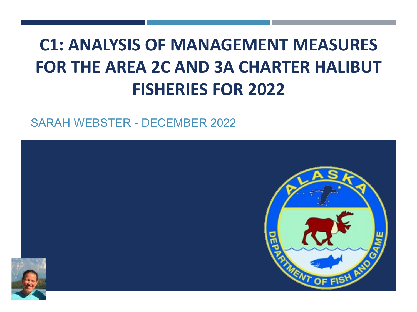## **C1: ANALYSIS OF MANAGEMENT MEASURES FOR THE AREA 2C AND 3A CHARTER HALIBUT FISHERIES FOR 2022**

SARAH WEBSTER - DECEMBER 2022

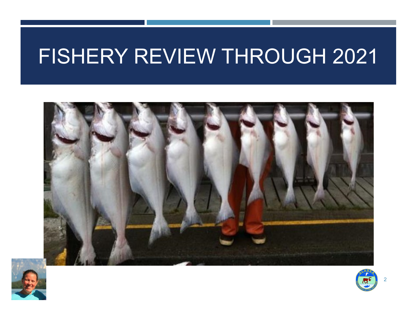# FISHERY REVIEW THROUGH 2021





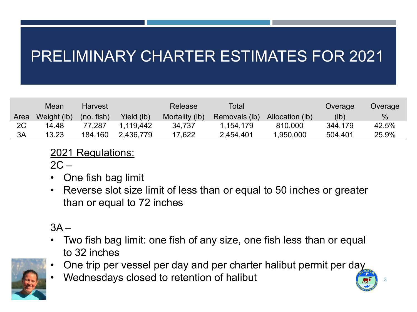### PRELIMINARY CHARTER ESTIMATES FOR 2021

|      | Mean        | <b>Harvest</b>  |            | Release        | Total         |                 | Overage | Overage |
|------|-------------|-----------------|------------|----------------|---------------|-----------------|---------|---------|
| Area | Weight (lb) | $(no.$ fish $)$ | Yield (lb) | Mortality (lb) | Removals (lb) | Allocation (lb) | (lb)    | $\%$    |
| 2C   | 14.48       | 77.287          | 1.119.442  | 34,737         | 1,154,179     | 810,000         | 344,179 | 42.5%   |
| ЗA   | 13.23       | 184,160         | 2,436,779  | 17,622         | 2,454,401     | .950,000        | 504,401 | 25.9%   |

2021 Regulations:

 $2C -$ 

- One fish bag limit
- Reverse slot size limit of less than or equal to 50 inches or greater than or equal to 72 inches

 $3A -$ 

- Two fish bag limit: one fish of any size, one fish less than or equal to 32 inches
- One trip per vessel per day and per charter halibut permit per day

3

• Wednesdays closed to retention of halibut

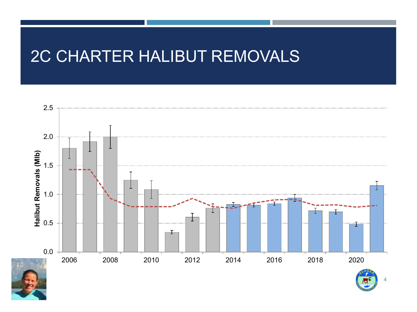### 2C CHARTER HALIBUT REMOVALS

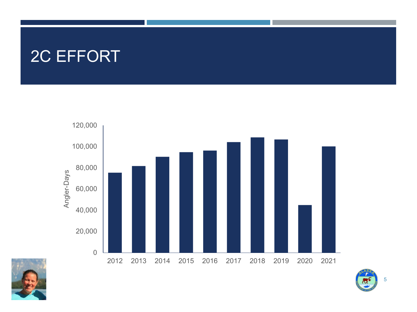### 2C EFFORT





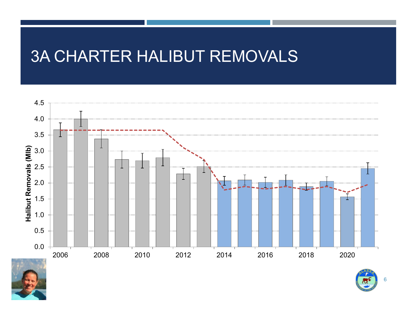### 3A CHARTER HALIBUT REMOVALS





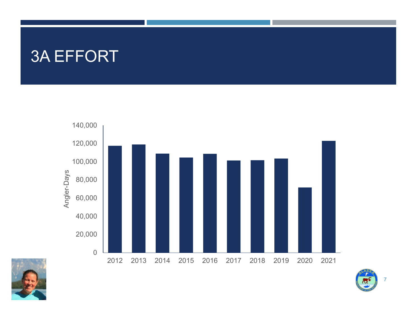### 3A EFFORT





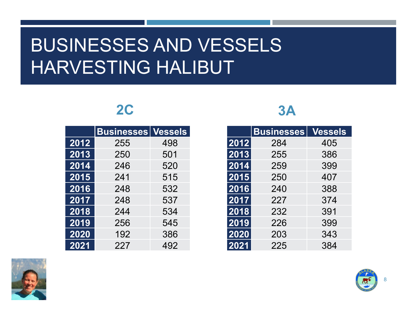## BUSINESSES AND VESSELS HARVESTING HALIBUT

### **2C**

|      | <b>Businesses Vessels</b> |     |
|------|---------------------------|-----|
| 2012 | 255                       | 498 |
| 2013 | 250                       | 501 |
| 2014 | 246                       | 520 |
| 2015 | 241                       | 515 |
| 2016 | 248                       | 532 |
| 2017 | 248                       | 537 |
| 2018 | 244                       | 534 |
| 2019 | 256                       | 545 |
| 2020 | 192                       | 386 |
| 2021 | 227                       | 492 |

#### **3A**

|      | <b>Businesses</b> | <b>Vessels</b> |
|------|-------------------|----------------|
| 2012 | 284               | 405            |
| 2013 | 255               | 386            |
| 2014 | 259               | 399            |
| 2015 | 250               | 407            |
| 2016 | 240               | 388            |
| 2017 | 227               | 374            |
| 2018 | 232               | 391            |
| 2019 | 226               | 399            |
| 2020 | 203               | 343            |
| 2021 | 225               | 384            |



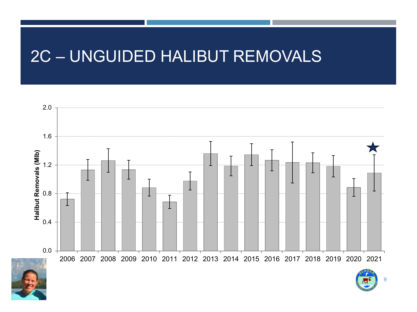### 2C – UNGUIDED HALIBUT REMOVALS

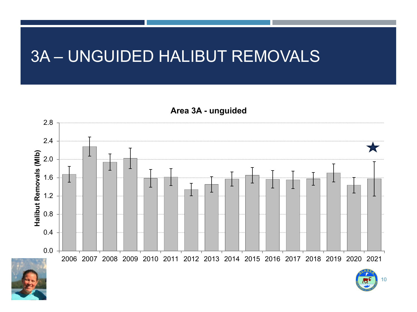### 3A – UNGUIDED HALIBUT REMOVALS

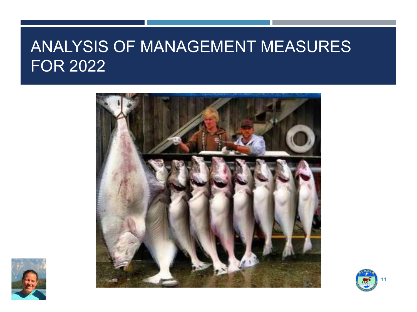### ANALYSIS OF MANAGEMENT MEASURES FOR 2022





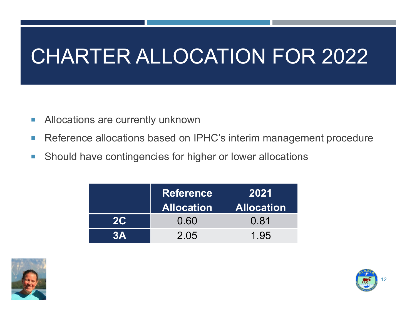# CHARTER ALLOCATION FOR 2022

- **Allocations are currently unknown**
- Reference allocations based on IPHC's interim management procedure
- **Should have contingencies for higher or lower allocations**

|    | <b>Reference</b><br><b>Allocation</b> | 2021<br><b>Allocation</b> |  |
|----|---------------------------------------|---------------------------|--|
| 2C | 0.60                                  | 0.81                      |  |
| ЗД | 2.05                                  | 1.95                      |  |



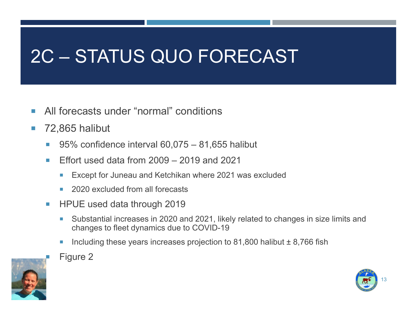# 2C – STATUS QUO FORECAST

- **All forecasts under "normal" conditions**
- 72,865 halibut
	- 95% confidence interval  $60,075 81,655$  halibut
	- **Effort used data from**  $2009 2019$  **and 2021** 
		- Except for Juneau and Ketchikan where 2021 was excluded
		- 2020 excluded from all forecasts
	- HPUE used data through 2019
		- Substantial increases in 2020 and 2021, likely related to changes in size limits and changes to fleet dynamics due to COVID-19
		- Including these years increases projection to 81,800 halibut  $\pm$  8,766 fish



Figure 2

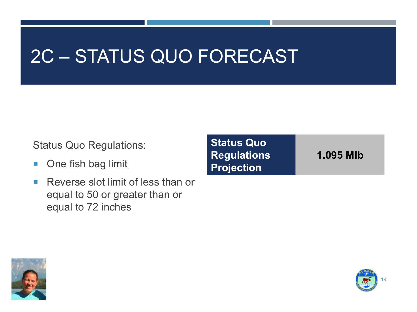## 2C – STATUS QUO FORECAST

Status Quo Regulations:

- **One fish bag limit**
- Reverse slot limit of less than or equal to 50 or greater than or equal to 72 inches

**Status Quo Regulations Projection**

**1.095 Mlb**



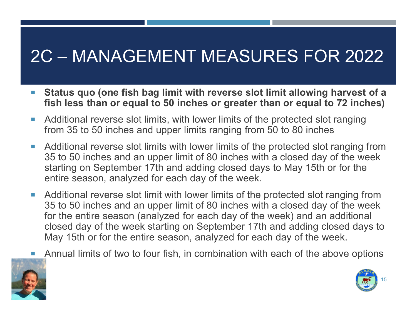## 2C – MANAGEMENT MEASURES FOR 2022

- **Status quo (one fish bag limit with reverse slot limit allowing harvest of a fish less than or equal to 50 inches or greater than or equal to 72 inches)**
- Additional reverse slot limits, with lower limits of the protected slot ranging from 35 to 50 inches and upper limits ranging from 50 to 80 inches
- Additional reverse slot limits with lower limits of the protected slot ranging from 35 to 50 inches and an upper limit of 80 inches with a closed day of the week starting on September 17th and adding closed days to May 15th or for the entire season, analyzed for each day of the week.
- Additional reverse slot limit with lower limits of the protected slot ranging from 35 to 50 inches and an upper limit of 80 inches with a closed day of the week for the entire season (analyzed for each day of the week) and an additional closed day of the week starting on September 17th and adding closed days to May 15th or for the entire season, analyzed for each day of the week.
	- Annual limits of two to four fish, in combination with each of the above options



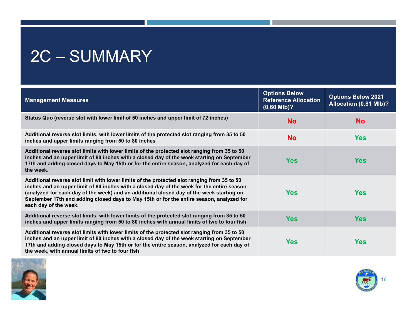## 2C – SUMMARY

| <b>Management Measures</b>                                                                                                                                                                                                                                                                                                                                                                                 | <b>Options Below</b><br><b>Reference Allocation</b><br>$(0.60$ MIb)? | <b>Options Below 2021</b><br>Allocation (0.81 Mlb)? |
|------------------------------------------------------------------------------------------------------------------------------------------------------------------------------------------------------------------------------------------------------------------------------------------------------------------------------------------------------------------------------------------------------------|----------------------------------------------------------------------|-----------------------------------------------------|
| Status Quo (reverse slot with lower limit of 50 inches and upper limit of 72 inches)                                                                                                                                                                                                                                                                                                                       | <b>No</b>                                                            | <b>No</b>                                           |
| Additional reverse slot limits, with lower limits of the protected slot ranging from 35 to 50<br>inches and upper limits ranging from 50 to 80 inches                                                                                                                                                                                                                                                      | <b>No</b>                                                            | <b>Yes</b>                                          |
| Additional reverse slot limits with lower limits of the protected slot ranging from 35 to 50<br>inches and an upper limit of 80 inches with a closed day of the week starting on September<br>17th and adding closed days to May 15th or for the entire season, analyzed for each day of<br>the week.                                                                                                      | <b>Yes</b>                                                           | <b>Yes</b>                                          |
| Additional reverse slot limit with lower limits of the protected slot ranging from 35 to 50<br>inches and an upper limit of 80 inches with a closed day of the week for the entire season<br>(analyzed for each day of the week) and an additional closed day of the week starting on<br>September 17th and adding closed days to May 15th or for the entire season, analyzed for<br>each day of the week. | <b>Yes</b>                                                           | <b>Yes</b>                                          |
| Additional reverse slot limits, with lower limits of the protected slot ranging from 35 to 50<br>inches and upper limits ranging from 50 to 80 inches with annual limits of two to four fish                                                                                                                                                                                                               | <b>Yes</b>                                                           | <b>Yes</b>                                          |
| Additional reverse slot limits with lower limits of the protected slot ranging from 35 to 50<br>inches and an upper limit of 80 inches with a closed day of the week starting on September<br>17th and adding closed days to May 15th or for the entire season, analyzed for each day of<br>the week, with annual limits of two to four fish                                                               | <b>Yes</b>                                                           | <b>Yes</b>                                          |



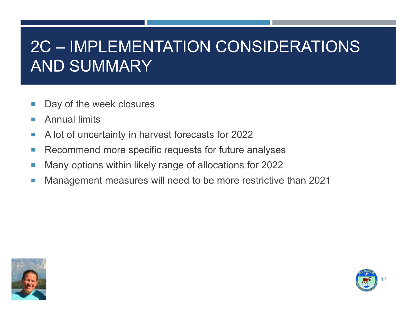### 2C – IMPLEMENTATION CONSIDERATIONS AND SUMMARY

- Day of the week closures
- **Annual limits**
- A lot of uncertainty in harvest forecasts for 2022
- **Recommend more specific requests for future analyses**
- **Many options within likely range of allocations for 2022**
- Management measures will need to be more restrictive than 2021



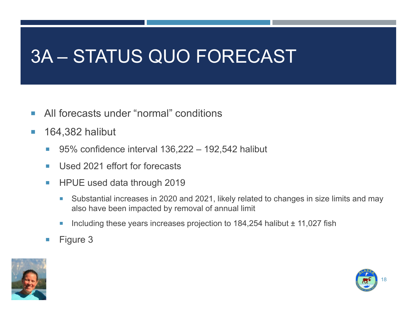## 3A – STATUS QUO FORECAST

- **All forecasts under "normal" conditions**
- **164,382 halibut** 
	- 95% confidence interval 136,222 192,542 halibut
	- **Used 2021 effort for forecasts**
	- **HPUE used data through 2019** 
		- Substantial increases in 2020 and 2021, likely related to changes in size limits and may also have been impacted by removal of annual limit
		- Including these years increases projection to  $184,254$  halibut  $\pm 11,027$  fish
	- $\blacksquare$  Figure 3



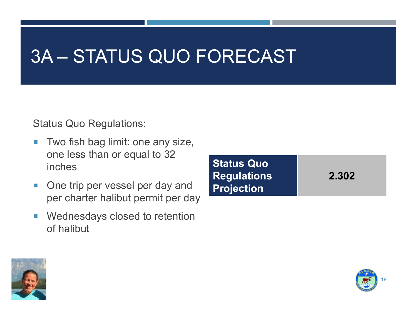## 3A – STATUS QUO FORECAST

Status Quo Regulations:

- Two fish bag limit: one any size, one less than or equal to 32 inches
- **One trip per vessel per day and** per charter halibut permit per day
- **Nednesdays closed to retention** of halibut





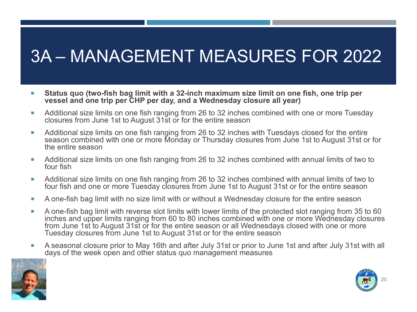## 3A – MANAGEMENT MEASURES FOR 2022

- **Status quo (two-fish bag limit with a 32-inch maximum size limit on one fish, one trip per vessel and one trip per CHP per day, and a Wednesday closure all year)**
- **Additional size limits on one fish ranging from 26 to 32 inches combined with one or more Tuesday** closures from June 1st to August 31st or for the entire season
- **Additional size limits on one fish ranging from 26 to 32 inches with Tuesdays closed for the entire** season combined with one or more Monday or Thursday closures from June 1st to August 31st or for the entire season
- Additional size limits on one fish ranging from 26 to 32 inches combined with annual limits of two to four fish
- Additional size limits on one fish ranging from 26 to 32 inches combined with annual limits of two to four fish and one or more Tuesday closures from June 1st to August 31st or for the entire season
- A one-fish bag limit with no size limit with or without a Wednesday closure for the entire season
- A one-fish bag limit with reverse slot limits with lower limits of the protected slot ranging from 35 to 60 inches and upper limits ranging from 60 to 80 inches combined with one or more Wednesday closures from June 1st to August 31st or for the entire season or all Wednesdays closed with one or more Tuesday closures from June 1st to August 31st or for the entire season
- A seasonal closure prior to May 16th and after July 31st or prior to June 1st and after July 31st with all days of the week open and other status quo management measures



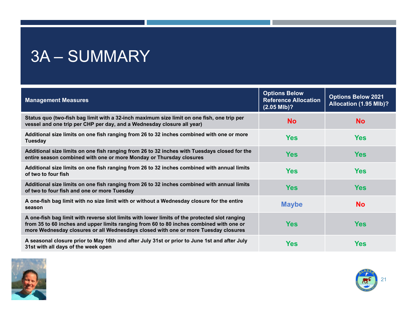## 3A – SUMMARY

| <b>Management Measures</b>                                                                                                                                                                                                                                                     | <b>Options Below</b><br><b>Reference Allocation</b><br>$(2.05$ Mlb $)$ ? | <b>Options Below 2021</b><br>Allocation (1.95 Mlb)? |
|--------------------------------------------------------------------------------------------------------------------------------------------------------------------------------------------------------------------------------------------------------------------------------|--------------------------------------------------------------------------|-----------------------------------------------------|
| Status quo (two-fish bag limit with a 32-inch maximum size limit on one fish, one trip per<br>vessel and one trip per CHP per day, and a Wednesday closure all year)                                                                                                           | <b>No</b>                                                                | <b>No</b>                                           |
| Additional size limits on one fish ranging from 26 to 32 inches combined with one or more<br><b>Tuesday</b>                                                                                                                                                                    | <b>Yes</b>                                                               | <b>Yes</b>                                          |
| Additional size limits on one fish ranging from 26 to 32 inches with Tuesdays closed for the<br>entire season combined with one or more Monday or Thursday closures                                                                                                            | <b>Yes</b>                                                               | <b>Yes</b>                                          |
| Additional size limits on one fish ranging from 26 to 32 inches combined with annual limits<br>of two to four fish                                                                                                                                                             | <b>Yes</b>                                                               | <b>Yes</b>                                          |
| Additional size limits on one fish ranging from 26 to 32 inches combined with annual limits<br>of two to four fish and one or more Tuesday                                                                                                                                     | <b>Yes</b>                                                               | <b>Yes</b>                                          |
| A one-fish bag limit with no size limit with or without a Wednesday closure for the entire<br>season                                                                                                                                                                           | <b>Maybe</b>                                                             | <b>No</b>                                           |
| A one-fish bag limit with reverse slot limits with lower limits of the protected slot ranging<br>from 35 to 60 inches and upper limits ranging from 60 to 80 inches combined with one or<br>more Wednesday closures or all Wednesdays closed with one or more Tuesday closures | <b>Yes</b>                                                               | <b>Yes</b>                                          |
| A seasonal closure prior to May 16th and after July 31st or prior to June 1st and after July<br>31st with all days of the week open                                                                                                                                            | <b>Yes</b>                                                               | <b>Yes</b>                                          |



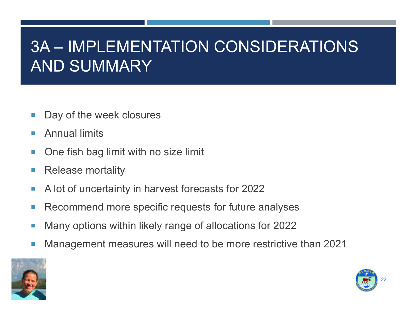### 3A – IMPLEMENTATION CONSIDERATIONS AND SUMMARY

- Day of the week closures
- **Annual limits**
- One fish bag limit with no size limit
- Release mortality
- A lot of uncertainty in harvest forecasts for 2022
- Recommend more specific requests for future analyses
- Many options within likely range of allocations for 2022
- Management measures will need to be more restrictive than 2021